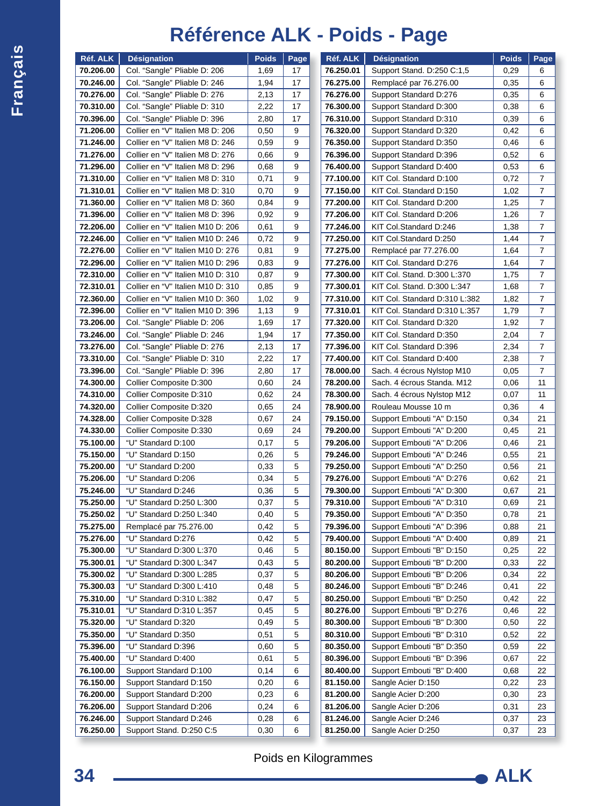## **Français**

## **Référence ALK - Poids - Page**

| 70.206.00<br>Col. "Sangle" Pliable D: 206<br>1,69<br>17<br>76.250.01<br>Support Stand. D:250 C:1,5                                                                          | 0,29         | Page<br>6                |
|-----------------------------------------------------------------------------------------------------------------------------------------------------------------------------|--------------|--------------------------|
|                                                                                                                                                                             |              |                          |
| 70.246.00<br>Col. "Sangle" Pliable D: 246<br>1,94<br>17<br>76.275.00<br>Remplacé par 76.276.00                                                                              | 0,35         | 6                        |
| 70.276.00<br>Col. "Sangle" Pliable D: 276<br>2,13<br>17<br>76.276.00<br>Support Standard D:276                                                                              | 0,35         | 6                        |
| 70.310.00<br>Col. "Sangle" Pliable D: 310<br>17<br>76.300.00<br>Support Standard D:300<br>2,22                                                                              | 0,38         | 6                        |
| 70.396.00<br>Col. "Sangle" Pliable D: 396<br>2,80<br>17<br>76.310.00<br>Support Standard D:310                                                                              | 0,39         | 6                        |
| 71.206.00<br>Collier en "V" Italien M8 D: 206<br>9<br>0,50<br>76.320.00<br>Support Standard D:320                                                                           | 0,42         | 6                        |
| 9<br>71.246.00<br>Collier en "V" Italien M8 D: 246<br>0,59<br>76.350.00<br>Support Standard D:350                                                                           | 0,46         | 6                        |
| 71.276.00<br>Collier en "V" Italien M8 D: 276<br>0,66<br>9<br>76.396.00<br>Support Standard D:396                                                                           | 0,52         | 6                        |
| 71.296.00<br>Collier en "V" Italien M8 D: 296<br>9<br>0,68<br>76.400.00<br>Support Standard D:400                                                                           | 0,53         | 6                        |
| 71.310.00<br>Collier en "V" Italien M8 D: 310<br>9<br>77.100.00<br>KIT Col. Standard D:100<br>0,71                                                                          | 0,72         | 7                        |
| Collier en "V" Italien M8 D: 310<br>9<br>71.310.01<br>0,70<br>77.150.00<br>KIT Col. Standard D:150                                                                          | 1,02         | $\overline{7}$           |
| 71.360.00<br>Collier en "V" Italien M8 D: 360<br>9<br>0,84<br>77.200.00<br>KIT Col. Standard D:200                                                                          | 1,25         | 7                        |
| 71.396.00<br>Collier en "V" Italien M8 D: 396<br>9<br>77.206.00<br>KIT Col. Standard D:206<br>0,92                                                                          | 1,26         | 7                        |
| Collier en "V" Italien M10 D: 206<br>9<br>72.206.00<br>0,61<br>77.246.00<br>KIT Col.Standard D:246                                                                          | 1,38         | $\overline{7}$           |
| Collier en "V" Italien M10 D: 246<br>9<br>KIT Col.Standard D:250<br>72.246.00<br>0,72<br>77.250.00                                                                          | 1,44         | 7                        |
| 72.276.00<br>Collier en "V" Italien M10 D: 276<br>9<br>77.275.00<br>Remplacé par 77.276.00<br>0,81                                                                          | 1,64         | $\overline{7}$           |
| 72.296.00<br>Collier en "V" Italien M10 D: 296<br>9<br>77.276.00<br>KIT Col. Standard D:276<br>0,83                                                                         | 1,64         | $\overline{\mathcal{I}}$ |
| 72.310.00<br>Collier en "V" Italien M10 D: 310<br>0,87<br>9<br>77.300.00<br>KIT Col. Stand. D:300 L:370                                                                     | 1,75         | 7                        |
| 72.310.01<br>Collier en "V" Italien M10 D: 310<br>9<br>77.300.01<br>0,85<br>KIT Col. Stand. D:300 L:347                                                                     | 1,68         | $\overline{\mathbf{7}}$  |
| 9<br>Collier en "V" Italien M10 D: 360<br>72.360.00<br>1,02<br>77.310.00<br>KIT Col. Standard D:310 L:382                                                                   | 1,82         | $\overline{7}$           |
| 9<br>72.396.00<br>Collier en "V" Italien M10 D: 396<br>1,13<br>77.310.01<br>KIT Col. Standard D:310 L:357                                                                   | 1,79         | $\overline{7}$           |
| 73.206.00<br>Col. "Sangle" Pliable D: 206<br>17<br>1,69<br>77.320.00<br>KIT Col. Standard D:320                                                                             | 1,92         | $\overline{7}$           |
| 73.246.00<br>Col. "Sangle" Pliable D: 246<br>1,94<br>17<br>77.350.00<br>KIT Col. Standard D:350                                                                             | 2,04         | $\overline{7}$           |
| 73.276.00<br>Col. "Sangle" Pliable D: 276<br>2,13<br>17<br>KIT Col. Standard D:396<br>77.396.00                                                                             | 2,34         | $\overline{7}$           |
| 73.310.00<br>Col. "Sangle" Pliable D: 310<br>17<br>77.400.00<br>KIT Col. Standard D:400<br>2,22                                                                             | 2,38         | 7                        |
| 73.396.00<br>Col. "Sangle" Pliable D: 396<br>2,80<br>17<br>78.000.00<br>Sach. 4 écrous Nylstop M10                                                                          | 0,05         | $\overline{7}$           |
| 24<br>74.300.00<br>Collier Composite D:300<br>0,60<br>78.200.00<br>Sach. 4 écrous Standa. M12                                                                               | 0,06         | 11                       |
| 74.310.00<br>24<br>78.300.00<br>Sach. 4 écrous Nylstop M12<br>Collier Composite D:310<br>0,62                                                                               | 0,07         | 11                       |
| 24<br>74.320.00<br>Collier Composite D:320<br>78.900.00<br>Rouleau Mousse 10 m<br>0,65                                                                                      | 0,36         | 4                        |
| 24<br>74.328.00<br>Collier Composite D:328<br>0,67<br>79.150.00<br>Support Embouti "A" D:150                                                                                | 0,34         | 21                       |
| 74.330.00<br>Collier Composite D:330<br>24<br>79.200.00<br>Support Embouti "A" D:200<br>0,69                                                                                | 0,45         | 21                       |
| 75.100.00<br>"U" Standard D:100<br>5<br>79.206.00<br>Support Embouti "A" D:206<br>0,17                                                                                      | 0,46         | 21                       |
| 75.150.00<br>5<br>Support Embouti "A" D:246<br>"U" Standard D:150<br>0,26<br>79.246.00                                                                                      | 0,55         | 21                       |
| 5<br>75.200.00<br>"U" Standard D:200<br>Support Embouti "A" D:250<br>0,33<br>79.250.00<br>5                                                                                 | 0,56         | 21                       |
| 75.206.00<br>"U" Standard D:206<br>0,34<br>79.276.00<br>Support Embouti "A" D:276<br>75.246.00<br>"U" Standard D:246<br>79.300.00<br>Support Embouti "A" D:300<br>0,36<br>5 | 0,62<br>0,67 | 21<br>21                 |
| 5                                                                                                                                                                           |              |                          |
| 75.250.00<br>"U" Standard D:250 L:300<br>0,37<br>79.310.00<br>Support Embouti "A" D:310<br>"U" Standard D:250 L:340<br>5<br>75.250.02<br>79.350.00                          | 0,69         | 21<br>21                 |
| Support Embouti "A" D:350<br>0,40<br>5<br>75.275.00<br>Remplacé par 75.276.00<br>0,42<br>79.396.00<br>Support Embouti "A" D:396                                             | 0,78<br>0,88 | 21                       |
| 75.276.00<br>"U" Standard D:276<br>5<br>79.400.00<br>Support Embouti "A" D:400<br>0,42                                                                                      | 0,89         | 21                       |
| 5<br>75.300.00<br>"U" Standard D:300 L:370<br>0,46<br>80.150.00<br>Support Embouti "B" D:150                                                                                | 0,25         | 22                       |
| "U" Standard D:300 L:347<br>5<br>75.300.01<br>0,43<br>80.200.00<br>Support Embouti "B" D:200                                                                                | 0,33         | 22                       |
| 75.300.02<br>"U" Standard D:300 L:285<br>5<br>Support Embouti "B" D:206<br>0,37<br>80.206.00                                                                                | 0,34         | 22                       |
| 75.300.03<br>"U" Standard D:300 L:410<br>0,48<br>5<br>80.246.00<br>Support Embouti "B" D:246                                                                                | 0,41         | 22                       |
| 75.310.00<br>5<br>"U" Standard D:310 L:382<br>0,47<br>80.250.00<br>Support Embouti "B" D:250                                                                                | 0,42         | 22                       |
| 75.310.01<br>"U" Standard D:310 L:357<br>5<br>80.276.00<br>Support Embouti "B" D:276<br>0,45                                                                                | 0,46         | 22                       |
| 5<br>75.320.00<br>"U" Standard D:320<br>80.300.00<br>Support Embouti "B" D:300<br>0,49                                                                                      | 0,50         | 22                       |
| 5<br>75.350.00<br>"U" Standard D:350<br>0,51<br>80.310.00<br>Support Embouti "B" D:310                                                                                      | 0,52         | 22                       |
| 75.396.00<br>"U" Standard D:396<br>5<br>Support Embouti "B" D:350<br>0,60<br>80.350.00                                                                                      | 0,59         | 22                       |
| 5<br>75.400.00<br>"U" Standard D:400<br>0,61<br>80.396.00<br>Support Embouti "B" D:396                                                                                      | 0,67         | 22                       |
| 76.100.00<br>6<br>Support Standard D:100<br>0, 14<br>80.400.00<br>Support Embouti "B" D:400                                                                                 | 0,68         | 22                       |
| 76.150.00<br>6<br>Support Standard D:150<br>0,20<br>81.150.00<br>Sangle Acier D:150                                                                                         | 0,22         | 23                       |
| 76.200.00<br>Support Standard D:200<br>0,23<br>6<br>81.200.00<br>Sangle Acier D:200                                                                                         | 0,30         | 23                       |
| 76.206.00<br>Support Standard D:206<br>0,24<br>6<br>81.206.00<br>Sangle Acier D:206                                                                                         | 0,31         | 23                       |
| 76.246.00<br>6<br>81.246.00<br>Support Standard D:246<br>0,28<br>Sangle Acier D:246                                                                                         | 0,37         | 23                       |
| 76.250.00<br>Support Stand. D:250 C:5<br>0,30<br>6<br>81.250.00<br>Sangle Acier D:250                                                                                       | 0,37         | 23                       |

Poids en Kilogrammes